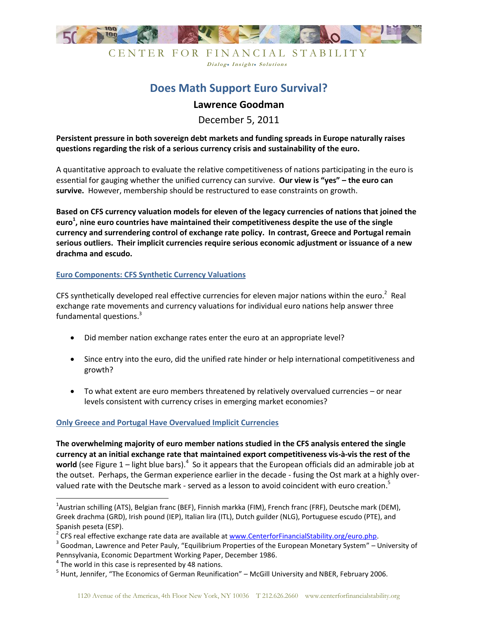

CENTER FOR FINANCIAL STABILITY Dialog. Insight. Solutions

# **Does Math Support Euro Survival?**

# **Lawrence Goodman**

December 5, 2011

**Persistent pressure in both sovereign debt markets and funding spreads in Europe naturally raises questions regarding the risk of a serious currency crisis and sustainability of the euro.**

A quantitative approach to evaluate the relative competitiveness of nations participating in the euro is essential for gauging whether the unified currency can survive. **Our view is "yes" – the euro can survive.** However, membership should be restructured to ease constraints on growth.

**Based on CFS currency valuation models for eleven of the legacy currencies of nations that joined the euro<sup>1</sup> , nine euro countries have maintained their competitiveness despite the use of the single currency and surrendering control of exchange rate policy. In contrast, Greece and Portugal remain serious outliers. Their implicit currencies require serious economic adjustment or issuance of a new drachma and escudo.**

### **Euro Components: CFS Synthetic Currency Valuations**

CFS synthetically developed real effective currencies for eleven major nations within the euro.<sup>2</sup> Real exchange rate movements and currency valuations for individual euro nations help answer three fundamental questions.<sup>3</sup>

- Did member nation exchange rates enter the euro at an appropriate level?
- Since entry into the euro, did the unified rate hinder or help international competitiveness and growth?
- To what extent are euro members threatened by relatively overvalued currencies or near levels consistent with currency crises in emerging market economies?

### **Only Greece and Portugal Have Overvalued Implicit Currencies**

**The overwhelming majority of euro member nations studied in the CFS analysis entered the single currency at an initial exchange rate that maintained export competitiveness vis-à-vis the rest of the**  world (see Figure 1 – light blue bars).<sup>4</sup> So it appears that the European officials did an admirable job at the outset. Perhaps, the German experience earlier in the decade - fusing the Ost mark at a highly overvalued rate with the Deutsche mark - served as a lesson to avoid coincident with euro creation.<sup>5</sup>

l

<sup>&</sup>lt;sup>1</sup>Austrian schilling (ATS), Belgian franc (BEF), Finnish markka (FIM), French franc (FRF), Deutsche mark (DEM), Greek drachma (GRD), Irish pound (IEP), Italian lira (ITL), Dutch guilder (NLG), Portuguese escudo (PTE), and Spanish peseta (ESP).

<sup>&</sup>lt;sup>2</sup> CFS real effective exchange rate data are available at [www.CenterforFinancialStability.org/euro.php.](http://www.centerforfinancialstability.org/euro.php)

 $^3$  Goodman, Lawrence and Peter Pauly, "Equilibrium Properties of the European Monetary System" – University of Pennsylvania, Economic Department Working Paper, December 1986.

 $<sup>4</sup>$  The world in this case is represented by 48 nations.</sup>

<sup>&</sup>lt;sup>5</sup> Hunt, Jennifer, "The Economics of German Reunification" – McGill University and NBER, February 2006.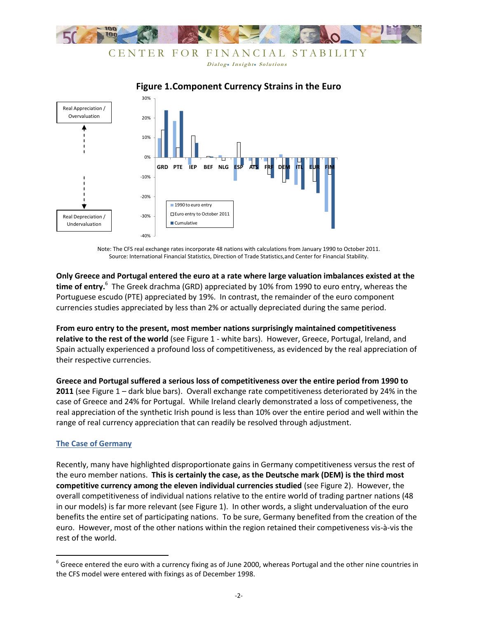

## CENTER FOR FINANCIAL STABILITY Dialog. Insight. Solutions

**Figure 1.Component Currency Strains in the Euro**



Note: The CFS real exchange rates incorporate 48 nations with calculations from January 1990 to October 2011. Source: International Financial Statistics, Direction of Trade Statistics,and Center for Financial Stability.

**Only Greece and Portugal entered the euro at a rate where large valuation imbalances existed at the time of entry.**<sup>6</sup> The Greek drachma (GRD) appreciated by 10% from 1990 to euro entry, whereas the Portuguese escudo (PTE) appreciated by 19%. In contrast, the remainder of the euro component currencies studies appreciated by less than 2% or actually depreciated during the same period.

**From euro entry to the present, most member nations surprisingly maintained competitiveness relative to the rest of the world** (see Figure 1 - white bars). However, Greece, Portugal, Ireland, and Spain actually experienced a profound loss of competitiveness, as evidenced by the real appreciation of their respective currencies.

**Greece and Portugal suffered a serious loss of competitiveness over the entire period from 1990 to 2011** (see Figure 1 – dark blue bars). Overall exchange rate competitiveness deteriorated by 24% in the case of Greece and 24% for Portugal. While Ireland clearly demonstrated a loss of competiveness, the real appreciation of the synthetic Irish pound is less than 10% over the entire period and well within the range of real currency appreciation that can readily be resolved through adjustment.

### **The Case of Germany**

Recently, many have highlighted disproportionate gains in Germany competitiveness versus the rest of the euro member nations. **This is certainly the case, as the Deutsche mark (DEM) is the third most competitive currency among the eleven individual currencies studied** (see Figure 2). However, the overall competitiveness of individual nations relative to the entire world of trading partner nations (48 in our models) is far more relevant (see Figure 1). In other words, a slight undervaluation of the euro benefits the entire set of participating nations. To be sure, Germany benefited from the creation of the euro. However, most of the other nations within the region retained their competiveness vis-à-vis the rest of the world.

<sup>&</sup>lt;u>6</u><br><sup>6</sup> Greece entered the euro with a currency fixing as of June 2000, whereas Portugal and the other nine countries in the CFS model were entered with fixings as of December 1998.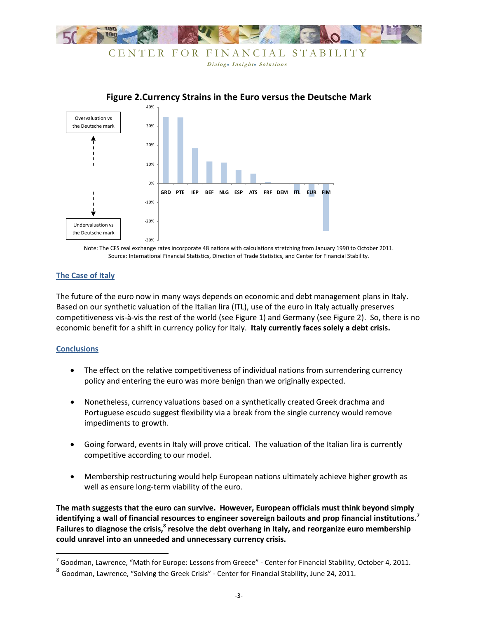

Dialog. Insight. Solutions



### **Figure 2.Currency Strains in the Euro versus the Deutsche Mark**

Note: The CFS real exchange rates incorporate 48 nations with calculations stretching from January 1990 to October 2011. Source: International Financial Statistics, Direction of Trade Statistics, and Center for Financial Stability.

#### **The Case of Italy**

The future of the euro now in many ways depends on economic and debt management plans in Italy. Based on our synthetic valuation of the Italian lira (ITL), use of the euro in Italy actually preserves competitiveness vis-à-vis the rest of the world (see Figure 1) and Germany (see Figure 2). So, there is no economic benefit for a shift in currency policy for Italy. **Italy currently faces solely a debt crisis.**

#### **Conclusions**

- The effect on the relative competitiveness of individual nations from surrendering currency policy and entering the euro was more benign than we originally expected.
- Nonetheless, currency valuations based on a synthetically created Greek drachma and Portuguese escudo suggest flexibility via a break from the single currency would remove impediments to growth.
- Going forward, events in Italy will prove critical. The valuation of the Italian lira is currently competitive according to our model.
- Membership restructuring would help European nations ultimately achieve higher growth as well as ensure long-term viability of the euro.

**The math suggests that the euro can survive. However, European officials must think beyond simply identifying a wall of financial resources to engineer sovereign bailouts and prop financial institutions.<sup>7</sup> Failures to diagnose the crisis,<sup>8</sup> resolve the debt overhang in Italy, and reorganize euro membership could unravel into an unneeded and unnecessary currency crisis.**

 7 Goodman, Lawrence, "Math for Europe: Lessons from Greece" - Center for Financial Stability, October 4, 2011.

 $^8$  Goodman, Lawrence, "Solving the Greek Crisis" - Center for Financial Stability, June 24, 2011.